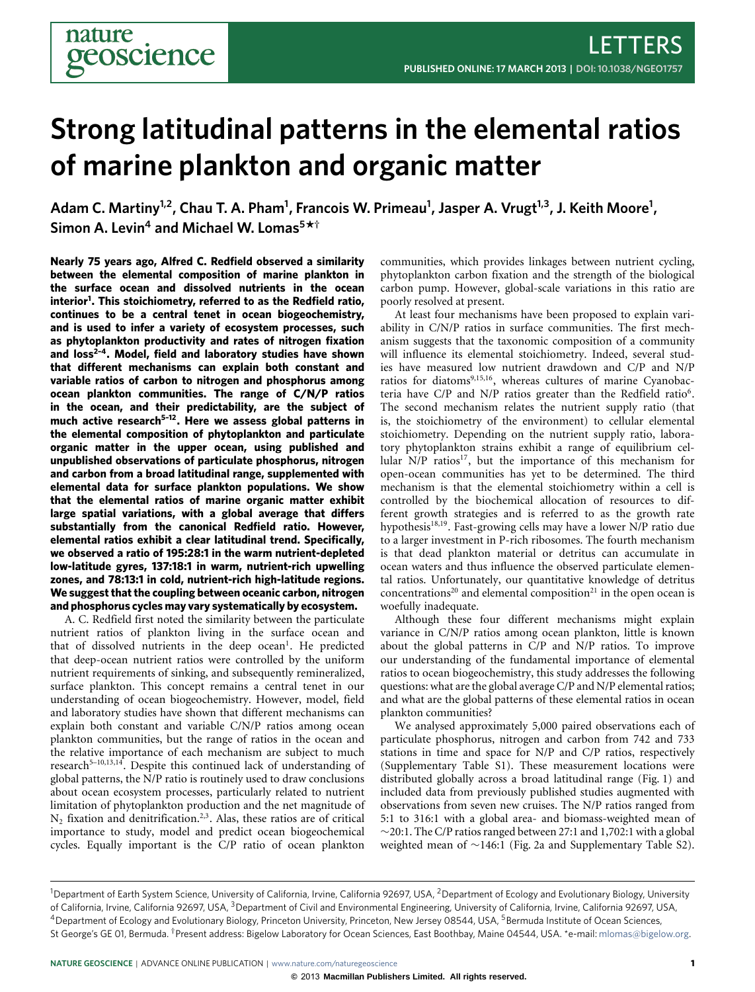# **Strong latitudinal patterns in the elemental ratios of marine plankton and organic matter**

**Adam C. Martiny1,2, Chau T. A. Pham<sup>1</sup> , Francois W. Primeau<sup>1</sup> , Jasper A. Vrugt1,3, J. Keith Moore<sup>1</sup> , Simon A. Levin<sup>4</sup> and Michael W. Lomas<sup>5</sup> \* †**

**Nearly 75 years ago, Alfred C. Redfield observed a similarity between the elemental composition of marine plankton in the surface ocean and dissolved nutrients in the ocean interior[1](#page-3-0) . This stoichiometry, referred to as the Redfield ratio, continues to be a central tenet in ocean biogeochemistry, and is used to infer a variety of ecosystem processes, such as phytoplankton productivity and rates of nitrogen fixation and loss[2](#page-3-1)[–4](#page-3-2). Model, field and laboratory studies have shown that different mechanisms can explain both constant and variable ratios of carbon to nitrogen and phosphorus among ocean plankton communities. The range of C/N/P ratios in the ocean, and their predictability, are the subject of much active research[5–](#page-4-0)[12](#page-4-1). Here we assess global patterns in the elemental composition of phytoplankton and particulate organic matter in the upper ocean, using published and unpublished observations of particulate phosphorus, nitrogen and carbon from a broad latitudinal range, supplemented with elemental data for surface plankton populations. We show that the elemental ratios of marine organic matter exhibit large spatial variations, with a global average that differs substantially from the canonical Redfield ratio. However, elemental ratios exhibit a clear latitudinal trend. Specifically, we observed a ratio of 195:28:1 in the warm nutrient-depleted low-latitude gyres, 137:18:1 in warm, nutrient-rich upwelling zones, and 78:13:1 in cold, nutrient-rich high-latitude regions. We suggest that the coupling between oceanic carbon, nitrogen and phosphorus cycles may vary systematically by ecosystem.**

A. C. Redfield first noted the similarity between the particulate nutrient ratios of plankton living in the surface ocean and that of dissolved nutrients in the deep ocean<sup>[1](#page-3-0)</sup>. He predicted that deep-ocean nutrient ratios were controlled by the uniform nutrient requirements of sinking, and subsequently remineralized, surface plankton. This concept remains a central tenet in our understanding of ocean biogeochemistry. However, model, field and laboratory studies have shown that different mechanisms can explain both constant and variable C/N/P ratios among ocean plankton communities, but the range of ratios in the ocean and the relative importance of each mechanism are subject to much research<sup>[5](#page-4-0)-10,[13](#page-4-3)[,14](#page-4-4)</sup>. Despite this continued lack of understanding of global patterns, the N/P ratio is routinely used to draw conclusions about ocean ecosystem processes, particularly related to nutrient limitation of phytoplankton production and the net magnitude of  $N_2$  $N_2$  fixation and denitrification.<sup>2[,3](#page-3-3)</sup>. Alas, these ratios are of critical importance to study, model and predict ocean biogeochemical cycles. Equally important is the C/P ratio of ocean plankton

communities, which provides linkages between nutrient cycling, phytoplankton carbon fixation and the strength of the biological carbon pump. However, global-scale variations in this ratio are poorly resolved at present.

At least four mechanisms have been proposed to explain variability in C/N/P ratios in surface communities. The first mechanism suggests that the taxonomic composition of a community will influence its elemental stoichiometry. Indeed, several studies have measured low nutrient drawdown and C/P and N/P ratios for diatoms<sup>[9,](#page-4-5)[15](#page-4-6)[,16](#page-4-7)</sup>, whereas cultures of marine Cyanobacteria have  $C/P$  and  $N/P$  ratios greater than the Redfield ratio<sup>[6](#page-4-8)</sup>. The second mechanism relates the nutrient supply ratio (that is, the stoichiometry of the environment) to cellular elemental stoichiometry. Depending on the nutrient supply ratio, laboratory phytoplankton strains exhibit a range of equilibrium cel-lular N/P ratios<sup>[17](#page-4-9)</sup>, but the importance of this mechanism for open-ocean communities has yet to be determined. The third mechanism is that the elemental stoichiometry within a cell is controlled by the biochemical allocation of resources to different growth strategies and is referred to as the growth rate hypothesis<sup>[18,](#page-4-10)[19](#page-4-11)</sup>. Fast-growing cells may have a lower N/P ratio due to a larger investment in P-rich ribosomes. The fourth mechanism is that dead plankton material or detritus can accumulate in ocean waters and thus influence the observed particulate elemental ratios. Unfortunately, our quantitative knowledge of detritus concentrations<sup>[20](#page-4-12)</sup> and elemental composition<sup>[21](#page-4-13)</sup> in the open ocean is woefully inadequate.

Although these four different mechanisms might explain variance in C/N/P ratios among ocean plankton, little is known about the global patterns in C/P and N/P ratios. To improve our understanding of the fundamental importance of elemental ratios to ocean biogeochemistry, this study addresses the following questions: what are the global average C/P and N/P elemental ratios; and what are the global patterns of these elemental ratios in ocean plankton communities?

We analysed approximately 5,000 paired observations each of particulate phosphorus, nitrogen and carbon from 742 and 733 stations in time and space for N/P and C/P ratios, respectively (Supplementary Table S1). These measurement locations were distributed globally across a broad latitudinal range [\(Fig. 1\)](#page-1-0) and included data from previously published studies augmented with observations from seven new cruises. The N/P ratios ranged from 5:1 to 316:1 with a global area- and biomass-weighted mean of ∼20:1. The C/P ratios ranged between 27:1 and 1,702:1 with a global weighted mean of ∼146:1 [\(Fig. 2a](#page-2-0) and Supplementary Table S2).

<sup>&</sup>lt;sup>1</sup>Department of Earth System Science, University of California, Irvine, California 92697, USA, <sup>2</sup>Department of Ecology and Evolutionary Biology, University of California, Irvine, California 92697, USA, <sup>3</sup>Department of Civil and Environmental Engineering, University of California, Irvine, California 92697, USA, <sup>4</sup> Department of Ecology and Evolutionary Biology, Princeton University, Princeton, New Jersey 08544, USA, <sup>5</sup> Bermuda Institute of Ocean Sciences, St George's GE 01, Bermuda. <sup>†</sup>Present address: Bigelow Laboratory for Ocean Sciences, East Boothbay, Maine 04544, USA. \*e-mail: [mlomas@bigelow.org.](mailto:mlomas@bigelow.org)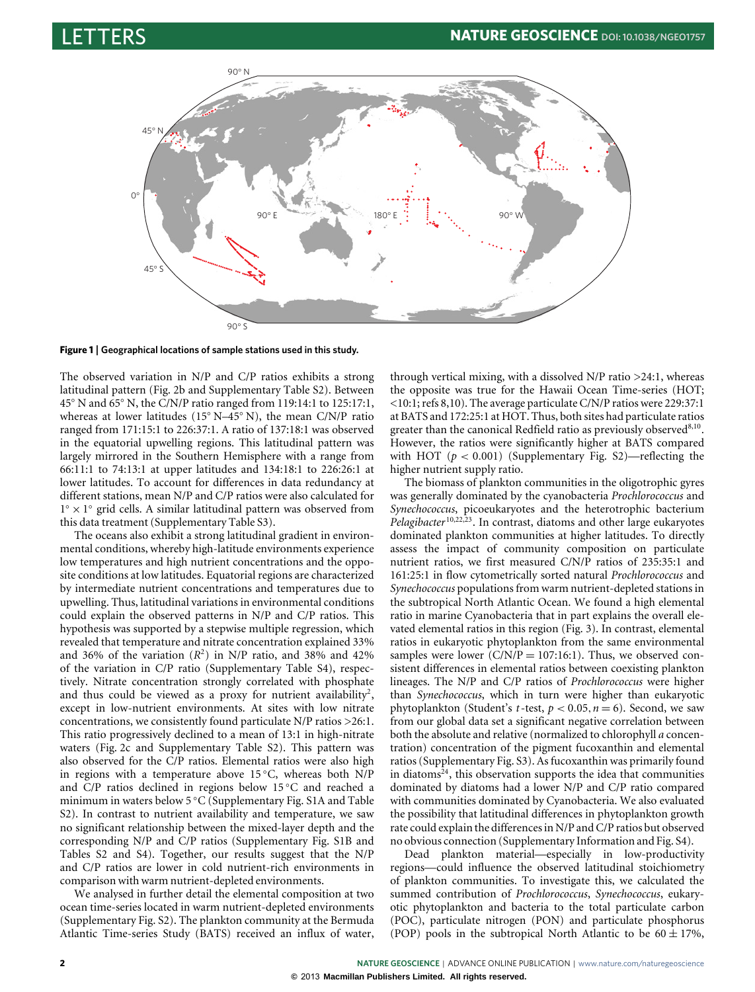

<span id="page-1-0"></span>**Figure 1** | **Geographical locations of sample stations used in this study.**

The observed variation in N/P and C/P ratios exhibits a strong latitudinal pattern [\(Fig. 2b](#page-2-0) and Supplementary Table S2). Between 45◦ N and 65◦ N, the C/N/P ratio ranged from 119:14:1 to 125:17:1, whereas at lower latitudes (15◦ N–45◦ N), the mean C/N/P ratio ranged from 171:15:1 to 226:37:1. A ratio of 137:18:1 was observed in the equatorial upwelling regions. This latitudinal pattern was largely mirrored in the Southern Hemisphere with a range from 66:11:1 to 74:13:1 at upper latitudes and 134:18:1 to 226:26:1 at lower latitudes. To account for differences in data redundancy at different stations, mean N/P and C/P ratios were also calculated for 1° × 1° grid cells. A similar latitudinal pattern was observed from this data treatment (Supplementary Table S3).

The oceans also exhibit a strong latitudinal gradient in environmental conditions, whereby high-latitude environments experience low temperatures and high nutrient concentrations and the opposite conditions at low latitudes. Equatorial regions are characterized by intermediate nutrient concentrations and temperatures due to upwelling. Thus, latitudinal variations in environmental conditions could explain the observed patterns in N/P and C/P ratios. This hypothesis was supported by a stepwise multiple regression, which revealed that temperature and nitrate concentration explained 33% and 36% of the variation  $(R^2)$  in N/P ratio, and 38% and 42% of the variation in C/P ratio (Supplementary Table S4), respectively. Nitrate concentration strongly correlated with phosphate and thus could be viewed as a proxy for nutrient availability<sup>[2](#page-3-1)</sup>, except in low-nutrient environments. At sites with low nitrate concentrations, we consistently found particulate N/P ratios >26:1. This ratio progressively declined to a mean of 13:1 in high-nitrate waters [\(Fig. 2c](#page-2-0) and Supplementary Table S2). This pattern was also observed for the C/P ratios. Elemental ratios were also high in regions with a temperature above 15 ◦C, whereas both N/P and C/P ratios declined in regions below 15 ◦C and reached a minimum in waters below 5 ◦C (Supplementary Fig. S1A and Table S2). In contrast to nutrient availability and temperature, we saw no significant relationship between the mixed-layer depth and the corresponding N/P and C/P ratios (Supplementary Fig. S1B and Tables S2 and S4). Together, our results suggest that the N/P and C/P ratios are lower in cold nutrient-rich environments in comparison with warm nutrient-depleted environments.

We analysed in further detail the elemental composition at two ocean time-series located in warm nutrient-depleted environments (Supplementary Fig. S2). The plankton community at the Bermuda Atlantic Time-series Study (BATS) received an influx of water,

through vertical mixing, with a dissolved  $N/P$  ratio  $>24:1$ , whereas the opposite was true for the Hawaii Ocean Time-series (HOT; <10:1; refs [8](#page-4-14)[,10\)](#page-4-2). The average particulate C/N/P ratios were 229:37:1 at BATS and 172:25:1 at HOT. Thus, both sites had particulate ratios greater than the canonical Redfield ratio as previously observed<sup>[8,](#page-4-14)[10](#page-4-2)</sup>. However, the ratios were significantly higher at BATS compared with HOT ( $p < 0.001$ ) (Supplementary Fig. S2)—reflecting the higher nutrient supply ratio.

The biomass of plankton communities in the oligotrophic gyres was generally dominated by the cyanobacteria *Prochlorococcus* and *Synechococcus*, picoeukaryotes and the heterotrophic bacterium *Pelagibacter* [10](#page-4-2)[,22,](#page-4-15)[23](#page-4-16). In contrast, diatoms and other large eukaryotes dominated plankton communities at higher latitudes. To directly assess the impact of community composition on particulate nutrient ratios, we first measured C/N/P ratios of 235:35:1 and 161:25:1 in flow cytometrically sorted natural *Prochlorococcus* and *Synechococcus* populations from warm nutrient-depleted stations in the subtropical North Atlantic Ocean. We found a high elemental ratio in marine Cyanobacteria that in part explains the overall elevated elemental ratios in this region [\(Fig. 3\)](#page-3-4). In contrast, elemental ratios in eukaryotic phytoplankton from the same environmental samples were lower  $(C/N/P = 107:16:1)$ . Thus, we observed consistent differences in elemental ratios between coexisting plankton lineages. The N/P and C/P ratios of *Prochlorococcus* were higher than *Synechococcus*, which in turn were higher than eukaryotic phytoplankton (Student's *t*-test,  $p < 0.05$ ,  $n = 6$ ). Second, we saw from our global data set a significant negative correlation between both the absolute and relative (normalized to chlorophyll *a* concentration) concentration of the pigment fucoxanthin and elemental ratios (Supplementary Fig. S3). As fucoxanthin was primarily found in diatoms<sup>[24](#page-4-17)</sup>, this observation supports the idea that communities dominated by diatoms had a lower N/P and C/P ratio compared with communities dominated by Cyanobacteria. We also evaluated the possibility that latitudinal differences in phytoplankton growth rate could explain the differences in N/P and C/P ratios but observed no obvious connection (Supplementary Information and Fig. S4).

Dead plankton material—especially in low-productivity regions—could influence the observed latitudinal stoichiometry of plankton communities. To investigate this, we calculated the summed contribution of *Prochlorococcus*, *Synechococcus*, eukaryotic phytoplankton and bacteria to the total particulate carbon (POC), particulate nitrogen (PON) and particulate phosphorus (POP) pools in the subtropical North Atlantic to be  $60 \pm 17\%$ ,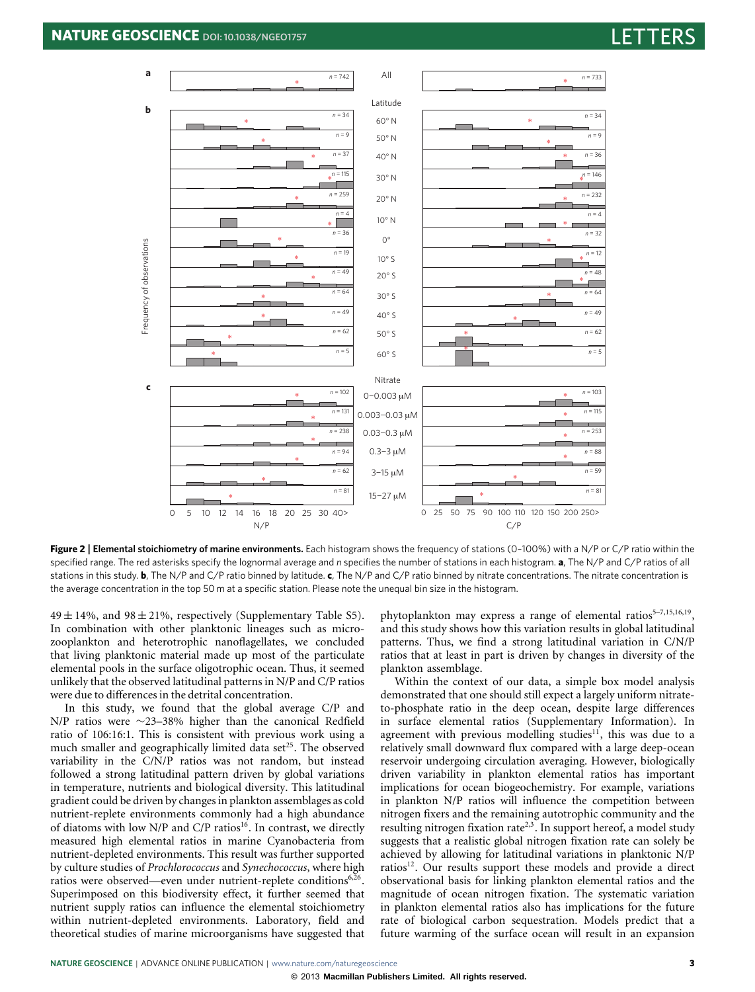

<span id="page-2-0"></span>**Figure 2** | **Elemental stoichiometry of marine environments.** Each histogram shows the frequency of stations (0–100%) with a N/P or C/P ratio within the specified range. The red asterisks specify the lognormal average and *n* specifies the number of stations in each histogram. **a**, The N/P and C/P ratios of all stations in this study. **b**, The N/P and C/P ratio binned by latitude. **c**, The N/P and C/P ratio binned by nitrate concentrations. The nitrate concentration is the average concentration in the top 50 m at a specific station. Please note the unequal bin size in the histogram.

 $49 \pm 14\%$ , and  $98 \pm 21\%$ , respectively (Supplementary Table S5). In combination with other planktonic lineages such as microzooplankton and heterotrophic nanoflagellates, we concluded that living planktonic material made up most of the particulate elemental pools in the surface oligotrophic ocean. Thus, it seemed unlikely that the observed latitudinal patterns in N/P and C/P ratios were due to differences in the detrital concentration.

In this study, we found that the global average C/P and N/P ratios were ∼23–38% higher than the canonical Redfield ratio of 106:16:1. This is consistent with previous work using a much smaller and geographically limited data set<sup>[25](#page-4-18)</sup>. The observed variability in the C/N/P ratios was not random, but instead followed a strong latitudinal pattern driven by global variations in temperature, nutrients and biological diversity. This latitudinal gradient could be driven by changes in plankton assemblages as cold nutrient-replete environments commonly had a high abundance of diatoms with low N/P and C/P ratios<sup>[16](#page-4-7)</sup>. In contrast, we directly measured high elemental ratios in marine Cyanobacteria from nutrient-depleted environments. This result was further supported by culture studies of *Prochlorococcus* and *Synechococcus*, where high ratios were observed—even under nutrient-replete conditions<sup>[6,](#page-4-8)[26](#page-4-19)</sup>. Superimposed on this biodiversity effect, it further seemed that nutrient supply ratios can influence the elemental stoichiometry within nutrient-depleted environments. Laboratory, field and theoretical studies of marine microorganisms have suggested that

phytoplankton may express a range of elemental ratios<sup>5-[7,](#page-4-20)[15](#page-4-6)[,16](#page-4-7)[,19](#page-4-11)</sup>, and this study shows how this variation results in global latitudinal patterns. Thus, we find a strong latitudinal variation in C/N/P ratios that at least in part is driven by changes in diversity of the plankton assemblage.

Within the context of our data, a simple box model analysis demonstrated that one should still expect a largely uniform nitrateto-phosphate ratio in the deep ocean, despite large differences in surface elemental ratios (Supplementary Information). In agreement with previous modelling studies<sup>[11](#page-4-21)</sup>, this was due to a relatively small downward flux compared with a large deep-ocean reservoir undergoing circulation averaging. However, biologically driven variability in plankton elemental ratios has important implications for ocean biogeochemistry. For example, variations in plankton N/P ratios will influence the competition between nitrogen fixers and the remaining autotrophic community and the resulting nitrogen fixation rate<sup>[2](#page-3-1)[,3](#page-3-3)</sup>. In support hereof, a model study suggests that a realistic global nitrogen fixation rate can solely be achieved by allowing for latitudinal variations in planktonic N/P ratios<sup>[12](#page-4-1)</sup>. Our results support these models and provide a direct observational basis for linking plankton elemental ratios and the magnitude of ocean nitrogen fixation. The systematic variation in plankton elemental ratios also has implications for the future rate of biological carbon sequestration. Models predict that a future warming of the surface ocean will result in an expansion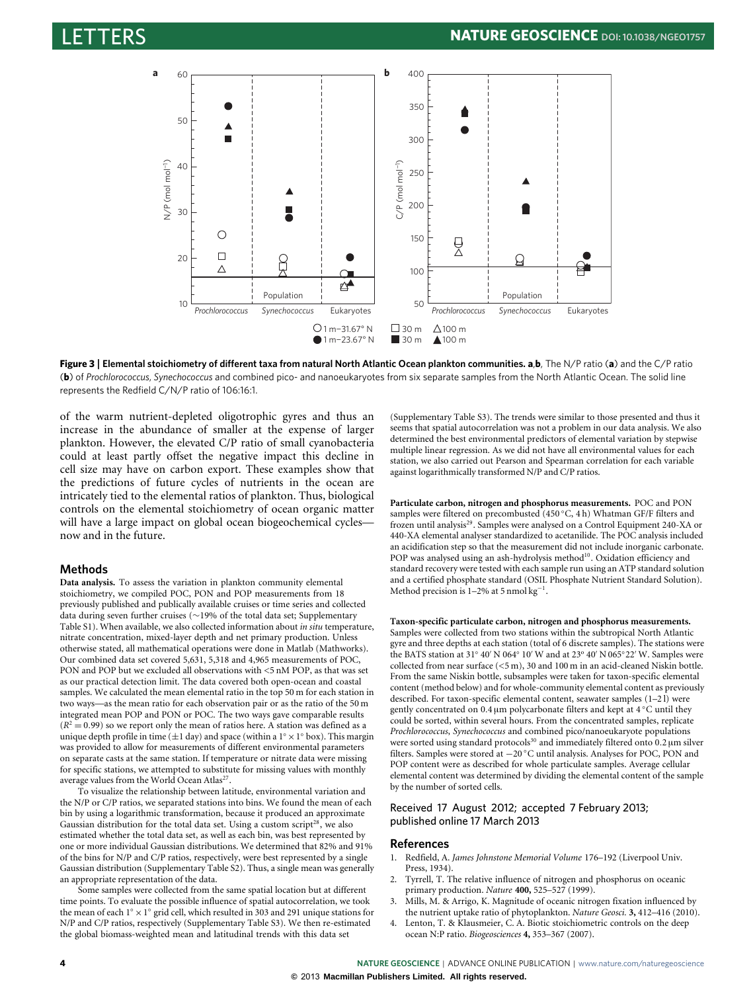

<span id="page-3-4"></span>**Figure 3** | **Elemental stoichiometry of different taxa from natural North Atlantic Ocean plankton communities. a**,**b**, The N/P ratio (**a**) and the C/P ratio (**b**) of *Prochlorococcus*, *Synechococcus* and combined pico- and nanoeukaryotes from six separate samples from the North Atlantic Ocean. The solid line represents the Redfield C/N/P ratio of 106:16:1.

of the warm nutrient-depleted oligotrophic gyres and thus an increase in the abundance of smaller at the expense of larger plankton. However, the elevated C/P ratio of small cyanobacteria could at least partly offset the negative impact this decline in cell size may have on carbon export. These examples show that the predictions of future cycles of nutrients in the ocean are intricately tied to the elemental ratios of plankton. Thus, biological controls on the elemental stoichiometry of ocean organic matter will have a large impact on global ocean biogeochemical cycles now and in the future.

# **Methods**

**Data analysis.** To assess the variation in plankton community elemental stoichiometry, we compiled POC, PON and POP measurements from 18 previously published and publically available cruises or time series and collected data during seven further cruises (∼19% of the total data set; Supplementary Table S1). When available, we also collected information about *in situ* temperature, nitrate concentration, mixed-layer depth and net primary production. Unless otherwise stated, all mathematical operations were done in Matlab (Mathworks). Our combined data set covered 5,631, 5,318 and 4,965 measurements of POC, PON and POP but we excluded all observations with <5 nM POP, as that was set as our practical detection limit. The data covered both open-ocean and coastal samples. We calculated the mean elemental ratio in the top 50 m for each station in two ways—as the mean ratio for each observation pair or as the ratio of the 50 m integrated mean POP and PON or POC. The two ways gave comparable results  $(R<sup>2</sup> = 0.99)$  so we report only the mean of ratios here. A station was defined as a unique depth profile in time ( $\pm 1$  day) and space (within a  $1^\circ \times 1^\circ$  box). This margin was provided to allow for measurements of different environmental parameters on separate casts at the same station. If temperature or nitrate data were missing for specific stations, we attempted to substitute for missing values with monthly average values from the World Ocean Atlas<sup>[27](#page-4-22)</sup> .

To visualize the relationship between latitude, environmental variation and the N/P or C/P ratios, we separated stations into bins. We found the mean of each bin by using a logarithmic transformation, because it produced an approximate Gaussian distribution for the total data set. Using a custom script<sup>[28](#page-4-23)</sup>, we also estimated whether the total data set, as well as each bin, was best represented by one or more individual Gaussian distributions. We determined that 82% and 91% of the bins for N/P and C/P ratios, respectively, were best represented by a single Gaussian distribution (Supplementary Table S2). Thus, a single mean was generally an appropriate representation of the data.

Some samples were collected from the same spatial location but at different time points. To evaluate the possible influence of spatial autocorrelation, we took the mean of each 1° × 1° grid cell, which resulted in 303 and 291 unique stations for N/P and C/P ratios, respectively (Supplementary Table S3). We then re-estimated the global biomass-weighted mean and latitudinal trends with this data set

(Supplementary Table S3). The trends were similar to those presented and thus it seems that spatial autocorrelation was not a problem in our data analysis. We also determined the best environmental predictors of elemental variation by stepwise multiple linear regression. As we did not have all environmental values for each station, we also carried out Pearson and Spearman correlation for each variable against logarithmically transformed N/P and C/P ratios.

**Particulate carbon, nitrogen and phosphorus measurements.** POC and PON samples were filtered on precombusted (450 ◦C, 4 h) Whatman GF/F filters and frozen until analysis<sup>[29](#page-4-24)</sup>. Samples were analysed on a Control Equipment 240-XA or 440-XA elemental analyser standardized to acetanilide. The POC analysis included an acidification step so that the measurement did not include inorganic carbonate. POP was analysed using an ash-hydrolysis method<sup>[10](#page-4-2)</sup>. Oxidation efficiency and standard recovery were tested with each sample run using an ATP standard solution and a certified phosphate standard (OSIL Phosphate Nutrient Standard Solution). Method precision is 1–2% at 5 nmol kg<sup>−</sup><sup>1</sup> .

**Taxon-specific particulate carbon, nitrogen and phosphorus measurements.** Samples were collected from two stations within the subtropical North Atlantic gyre and three depths at each station (total of 6 discrete samples). The stations were the BATS station at 31° 40' N 064° 10' W and at 23° 40' N 065° 22' W. Samples were collected from near surface (<5 m), 30 and 100 m in an acid-cleaned Niskin bottle. From the same Niskin bottle, subsamples were taken for taxon-specific elemental content (method below) and for whole-community elemental content as previously described. For taxon-specific elemental content, seawater samples (1–2 l) were gently concentrated on 0.4 µm polycarbonate filters and kept at 4 ◦C until they could be sorted, within several hours. From the concentrated samples, replicate *Prochlorococcus*, *Synechococcus* and combined pico/nanoeukaryote populations were sorted using standard protocols<sup>[30](#page-4-25)</sup> and immediately filtered onto 0.2 µm silver filters. Samples were stored at −20 ◦C until analysis. Analyses for POC, PON and POP content were as described for whole particulate samples. Average cellular elemental content was determined by dividing the elemental content of the sample by the number of sorted cells.

### Received 17 August 2012; accepted 7 February 2013; published online 17 March 2013

# **References**

- <span id="page-3-0"></span>1. Redfield, A. *James Johnstone Memorial Volume* 176–192 (Liverpool Univ. Press, 1934).
- <span id="page-3-1"></span>2. Tyrrell, T. The relative influence of nitrogen and phosphorus on oceanic primary production. *Nature* **400,** 525–527 (1999).
- <span id="page-3-3"></span>3. Mills, M. & Arrigo, K. Magnitude of oceanic nitrogen fixation influenced by the nutrient uptake ratio of phytoplankton. *Nature Geosci.* **3,** 412–416 (2010).
- <span id="page-3-2"></span>4. Lenton, T. & Klausmeier, C. A. Biotic stoichiometric controls on the deep ocean N:P ratio. *Biogeosciences* **4,** 353–367 (2007).